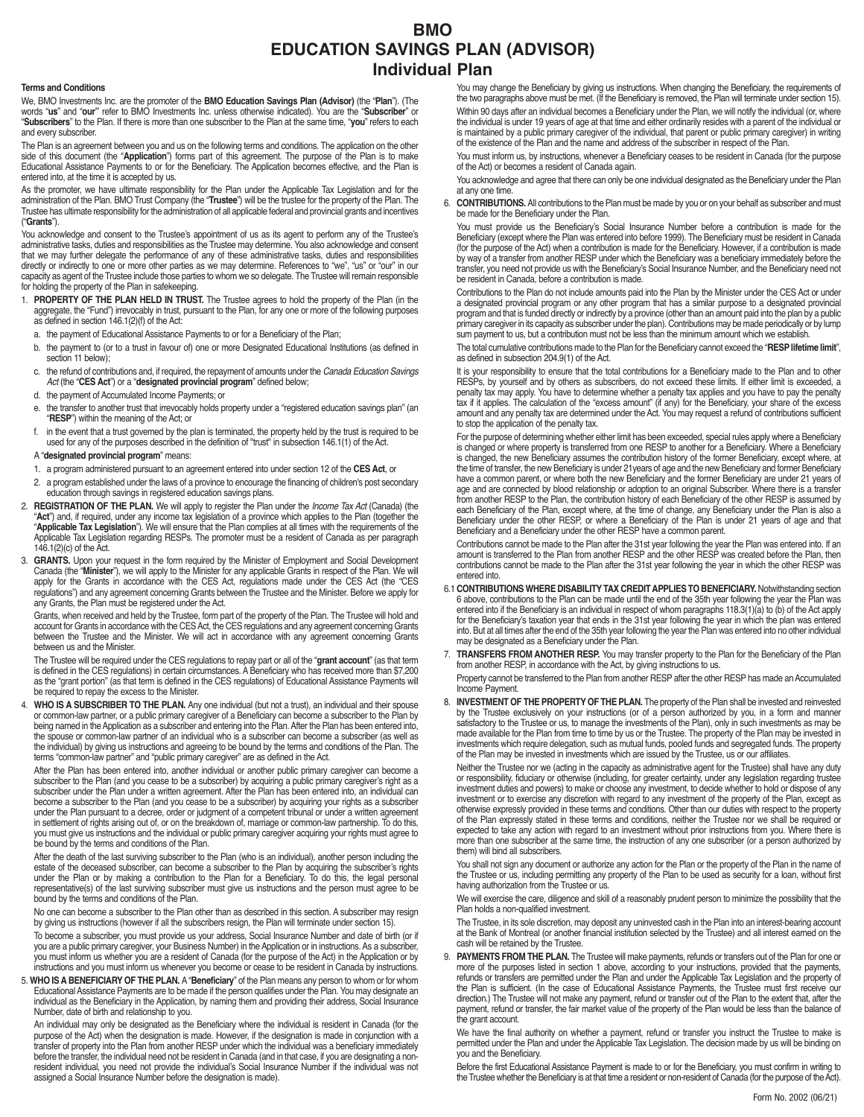## **BMO EDUCATION SAVINGS PLAN (ADVISOR) Individual Plan**

#### **Terms and Conditions**

We, BMO Investments Inc. are the promoter of the **BMO Education Savings Plan (Advisor)** (the "**Plan**"). (The words "**us**" and "**our"** refer to BMO Investments Inc. unless otherwise indicated). You are the "**Subscriber**" or "**Subscribers**" to the Plan. If there is more than one subscriber to the Plan at the same time, "**you**" refers to each and every subscriber.

The Plan is an agreement between you and us on the following terms and conditions. The application on the other side of this document (the "**Application**") forms part of this agreement. The purpose of the Plan is to make Educational Assistance Payments to or for the Beneficiary. The Application becomes effective, and the Plan is entered into, at the time it is accepted by us.

As the promoter, we have ultimate responsibility for the Plan under the Applicable Tax Legislation and for the administration of the Plan. BMO Trust Company (the "**Trustee**") will be the trustee for the property of the Plan. The Trustee has ultimate responsibility for the administration of all applicable federal and provincial grants and incentives ("**Grants**").

You acknowledge and consent to the Trustee's appointment of us as its agent to perform any of the Trustee's administrative tasks, duties and responsibilities as the Trustee may determine. You also acknowledge and consent that we may further delegate the performance of any of these administrative tasks, duties and responsibilities directly or indirectly to one or more other parties as we may determine. References to "we", "us" or "our" in our capacity as agent of the Trustee include those parties to whom we so delegate. The Trustee will remain responsible for holding the property of the Plan in safekeeping.

- 1. **PROPERTY OF THE PLAN HELD IN TRUST.** The Trustee agrees to hold the property of the Plan (in the aggregate, the "Fund") irrevocably in trust, pursuant to the Plan, for any one or more of the following purposes as defined in section 146.1(2)(f) of the Act:
	- a. the payment of Educational Assistance Payments to or for a Beneficiary of the Plan;
	- b. the payment to (or to a trust in favour of) one or more Designated Educational Institutions (as defined in section 11 below):
	- c. the refund of contributions and, if required, the repayment of amounts under the Canada Education Savings Act (the "**CES Act**") or a "**designated provincial program**" defined below;
	- d. the payment of Accumulated Income Payments; or
	- e. the transfer to another trust that irrevocably holds property under a "registered education savings plan" (an "**RESP**") within the meaning of the Act; or
	- f. in the event that a trust governed by the plan is terminated, the property held by the trust is required to be used for any of the purposes described in the definition of "trust" in subsection 146.1(1) of the Act.

### A "**designated provincial program**" means:

- 1. a program administered pursuant to an agreement entered into under section 12 of the **CES Act**, or
- 2. a program established under the laws of a province to encourage the financing of children's post secondary education through savings in registered education savings plans.
- 2. **REGISTRATION OF THE PLAN.** We will apply to register the Plan under the Income Tax Act (Canada) (the "**Act**") and, if required, under any income tax legislation of a province which applies to the Plan (together the<br>"**Applicable Tax Legislation**"). We will ensure that the Plan complies at all times with the requirements of Applicable Tax Legislation regarding RESPs. The promoter must be a resident of Canada as per paragraph 146.1(2)(c) of the Act.
- 3. GRANTS. Upon your request in the form required by the Minister of Employment and Social Development<br>Canada (the "Minister"), we will apply to the Minister for any applicable Grants in respect of the Plan. We will apply for the Grants in accordance with the CES Act, regulations made under the CES Act (the "CES regulations") and any agreement concerning Grants between the Trustee and the Minister. Before we apply for any Grants, the Plan must be registered under the Act.

Grants, when received and held by the Trustee, form part of the property of the Plan. The Trustee will hold and account for Grants in accordance with the CES Act, the CES regulations and any agreement concerning Grants between the Trustee and the Minister. We will act in accordance with any agreement concerning Grants between us and the Minister.

The Trustee will be required under the CES regulations to repay part or all of the "**grant account**" (as that term<br>is defined in the CES regulations) in certain circumstances. A Beneficiary who has received more than \$7,20 be required to repay the excess to the Minister.

4. **WHO IS A SUBSCRIBER TO THE PLAN.** Any one individual (but not a trust), an individual and their spouse or common-law partner, or a public primary caregiver of a Beneficiary can become a subscriber to the Plan by being named in the Application as a subscriber and entering into the Plan. After the Plan has been entered into, the spouse or common-law partner of an individual who is a subscriber can become a subscriber (as well as the individual) by giving us instructions and agreeing to be bound by the terms and conditions of the Plan. The terms "common-law partner" and "public primary caregiver" are as defined in the Act.

After the Plan has been entered into, another individual or another public primary caregiver can become a subscriber to the Plan (and you cease to be a subscriber) by acquiring a public primary caregiver's right as a subscriber under the Plan under a written agreement. After the Plan has been entered into, an individual can become a subscriber to the Plan (and you cease to be a subscriber) by acquiring your rights as a subscriber under the Plan pursuant to a decree, order or judgment of a competent tribunal or under a written agreement in settlement of rights arising out of, or on the breakdown of, marriage or common-law partnership. To do this, you must give us instructions and the individual or public primary caregiver acquiring your rights must agree to be bound by the terms and conditions of the Plan.

After the death of the last surviving subscriber to the Plan (who is an individual), another person including the estate of the deceased subscriber, can become a subscriber to the Plan by acquiring the subscriber's rights under the Plan or by making a contribution to the Plan for a Beneficiary. To do this, the legal personal representative(s) of the last surviving subscriber must give us instructions and the person must agree to be bound by the terms and conditions of the Plan.

No one can become a subscriber to the Plan other than as described in this section. A subscriber may resign by giving us instructions (however if all the subscribers resign, the Plan will terminate under section 15).

To become a subscriber, you must provide us your address, Social Insurance Number and date of birth (or if you are a public primary caregiver, your Business Number) in the Application or in instructions. As a subscriber, you must inform us whether you are a resident of Canada (for the purpose of the Act) in the Application or by instructions and you must inform us whenever you become or cease to be resident in Canada by instructions.

5. **WHO IS A BENEFICIARY OF THE PLAN.** A "**Beneficiary**" of the Plan means any person to whom or for whom Educational Assistance Payments are to be made if the person qualifies under the Plan. You may designate an individual as the Beneficiary in the Application, by naming them and providing their address, Social Insurance Number, date of birth and relationship to you.

An individual may only be designated as the Beneficiary where the individual is resident in Canada (for the purpose of the Act) when the designation is made. However, if the designation is made in conjunction with a transfer of property into the Plan from another RESP under which the individual was a beneficiary immediately before the transfer, the individual need not be resident in Canada (and in that case, if you are designating a nonresident individual, you need not provide the individual's Social Insurance Number if the individual was not assigned a Social Insurance Number before the designation is made).

You may change the Beneficiary by giving us instructions. When changing the Beneficiary, the requirements of the two paragraphs above must be met. (If the Beneficiary is removed, the Plan will terminate under section 15). Within 90 days after an individual becomes a Beneficiary under the Plan, we will notify the individual (or, where the individual is under 19 years of age at that time and either ordinarily resides with a parent of the individual or is maintained by a public primary caregiver of the individual, that parent or public primary caregiver) in writing of the existence of the Plan and the name and address of the subscriber in respect of the Plan.

You must inform us, by instructions, whenever a Beneficiary ceases to be resident in Canada (for the purpose of the Act) or becomes a resident of Canada again.

You acknowledge and agree that there can only be one individual designated as the Beneficiary under the Plan at any one time.

6. **CONTRIBUTIONS.** All contributions to the Plan must be made by you or on your behalf as subscriber and must be made for the Beneficiary under the Plan.

You must provide us the Beneficiary's Social Insurance Number before a contribution is made for the Beneficiary (except where the Plan was entered into before 1999). The Beneficiary must be resident in Canada (for the purpose of the Act) when a contribution is made for the Beneficiary. However, if a contribution is made by way of a transfer from another RESP under which the Beneficiary was a beneficiary immediately before the transfer, you need not provide us with the Beneficiary's Social Insurance Number, and the Beneficiary need not be resident in Canada, before a contribution is made.

Contributions to the Plan do not include amounts paid into the Plan by the Minister under the CES Act or under a designated provincial program or any other program that has a similar purpose to a designated provincial<br>program and that is funded directly or indirectly by a province (other than an amount paid into the plan by a publi sum payment to us, but a contribution must not be less than the minimum amount which we establish.

The total cumulative contributions made to the Plan for the Beneficiary cannot exceed the "**RESP lifetime limit**", as defined in subsection 204.9(1) of the Act.

It is your responsibility to ensure that the total contributions for a Beneficiary made to the Plan and to other RESPs, by yourself and by others as subscribers, do not exceed these limits. If either limit is exceeded, a penalty tax may apply. You have to determine whether a penalty tax applies and you have to pay the penalty tax if it applies. The calculation of the "excess amount" (if any) for the Beneficiary, your share of the excess amount and any penalty tax are determined under the Act. You may request a refund of contributions sufficient to stop the application of the penalty tax.

For the purpose of determining whether either limit has been exceeded, special rules apply where a Beneficiary is changed or where property is transferred from one RESP to another for a Beneficiary. Where a Beneficiary is changed, the new Beneficiary assumes the contribution history of the former Beneficiary, except where, at is changed, the new Beneficiary assumes the contribution history of the former Beneficiary, except where, at the time of transfer, the new Beneficiary is under 21years of age and the new Beneficiary and former Beneficiary have a common parent, or where both the new Beneficiary and the former Beneficiary are under 21 years of age and are connected by blood relationship or adoption to an original Subscriber. Where there is a transfer from another RESP to the Plan, the contribution history of each Beneficiary of the other RESP is assumed by each Beneficiary of the Plan, except where, at the time of change, any Beneficiary under the Plan is also a Beneficiary under the other RESP, or where a Beneficiary of the Plan is under 21 years of age and that<br>Beneficiary and a Beneficiary under the other RESP have a common parent.

Contributions cannot be made to the Plan after the 31st year following the year the Plan was entered into. If an amount is transferred to the Plan from another RESP and the other RESP was created before the Plan, then contributions cannot be made to the Plan after the 31st year following the year in which the other RESP was entered into.

- 6.1 **CONTRIBUTIONS WHERE DISABILITY TAX CREDIT APPLIES TO BENEFICIARY.** Notwithstanding section 6 above, contributions to the Plan can be made until the end of the 35th year following the year the Plan was entered into if the Beneficiary is an individual in respect of whom paragraphs 118.3(1)(a) to (b) of the Act apply for the Beneficiary's taxation year that ends in the 31st year following the year in which the plan was entered into. But at all times after the end of the 35th year following the year the Plan was entered into no other individual may be designated as a Beneficiary under the Plan.
- 7. **TRANSFERS FROM ANOTHER RESP.** You may transfer property to the Plan for the Beneficiary of the Plan from another RESP, in accordance with the Act, by giving instructions to us.

Property cannot be transferred to the Plan from another RESP after the other RESP has made an Accumulated Income Payment.

8. **INVESTMENT OF THE PROPERTY OF THE PLAN.** The property of the Plan shall be invested and reinvested by the Trustee exclusively on your instructions (or of a person authorized by you, in a form and manner satisfactory to the Trustee or us, to manage the investments of the Plan), only in such investments as may be made available for the Plan from time to time by us or the Trustee. The property of the Plan may be invested in investments which require delegation, such as mutual funds, pooled funds and segregated funds. The property of the Plan may be invested in investments which are issued by the Trustee, us or our affiliates.

Neither the Trustee nor we (acting in the capacity as administrative agent for the Trustee) shall have any duty or responsibility, fiduciary or otherwise (including, for greater certainty, under any legislation regarding trustee investment duties and powers) to make or choose any investment, to decide whether to hold or dispose of any investment or to exercise any discretion with regard to any investment of the property of the Plan, except as otherwise expressly provided in these terms and conditions. Other than our duties with respect to the property of the Plan expressly stated in these terms and conditions, neither the Trustee nor we shall be required or expected to take any action with regard to an investment without prior instructions from you. Where there is more than one subscriber at the same time, the instruction of any one subscriber (or a person authorized by them) will bind all subscribers.

You shall not sign any document or authorize any action for the Plan or the property of the Plan in the name of the Trustee or us, including permitting any property of the Plan to be used as security for a loan, without first having authorization from the Trustee or us.

We will exercise the care, diligence and skill of a reasonably prudent person to minimize the possibility that the Plan holds a non-qualified investment.

The Trustee, in its sole discretion, may deposit any uninvested cash in the Plan into an interest-bearing account at the Bank of Montreal (or another financial institution selected by the Trustee) and all interest earned on the cash will be retained by the Trustee.

9. **PAYMENTS FROM THE PLAN.** The Trustee will make payments, refunds or transfers out of the Plan for one or more of the purposes listed in section 1 above, according to your instructions, provided that the payments, refunds or transfers are permitted under the Plan and under the Applicable Tax Legislation and the property of the Plan is sufficient. (In the case of Educational Assistance Payments, the Trustee must first receive our direction.) The Trustee will not make any payment, refund or transfer out of the Plan to the extent that, after the payment, refund or transfer, the fair market value of the property of the Plan would be less than the balance of the grant account.

We have the final authority on whether a payment, refund or transfer you instruct the Trustee to make is permitted under the Plan and under the Applicable Tax Legislation. The decision made by us will be binding on you and the Beneficiary.

Before the first Educational Assistance Payment is made to or for the Beneficiary, you must confirm in writing to the Trustee whether the Beneficiary is at that time a resident or non-resident of Canada (for the purpose of the Act).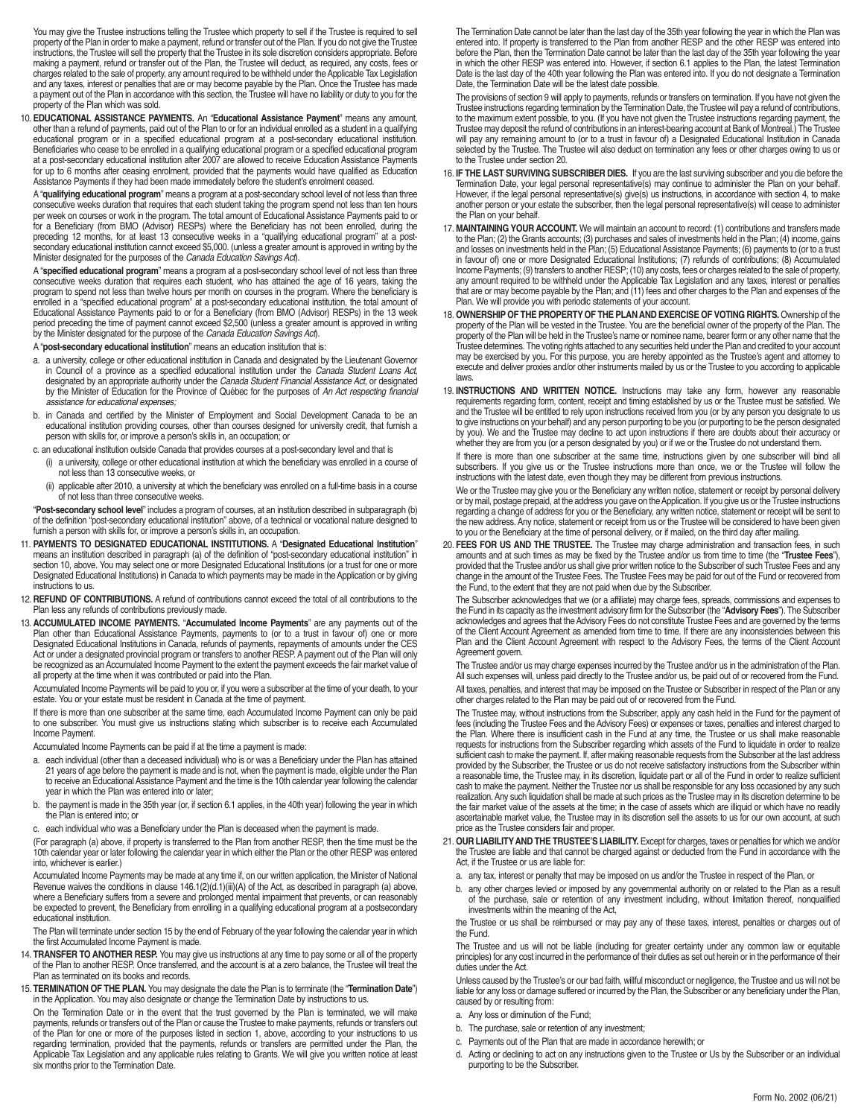You may give the Trustee instructions telling the Trustee which property to sell if the Trustee is required to sell property of the Plan in order to make a payment, refund or transfer out of the Plan. If you do not give the Trustee instructions, the Trustee will sell the property that the Trustee in its sole discretion considers appropriate. Before making a payment, refund or transfer out of the Plan, the Trustee will deduct, as required, any costs, fees or charges related to the sale of property, any amount required to be withheld under the Applicable Tax Legislation and any taxes, interest or penalties that are or may become payable by the Plan. Once the Trustee has made a payment out of the Plan in accordance with this section, the Trustee will have no liability or duty to you for the property of the Plan which was sold.

10. **EDUCATIONAL ASSISTANCE PAYMENTS.** An "**Educational Assistance Payment**" means any amount, other than a refund of payments, paid out of the Plan to or for an individual enrolled as a student in a qualifying educational program or in a specified educational program at a post-secondary educational institution. Beneficiaries who cease to be enrolled in a qualifying educational program or a specified educational program at a post-secondary educational institution after 2007 are allowed to receive Education Assistance Payments for up to 6 months after ceasing enrolment, provided that the payments would have qualified as Education Assistance Payments if they had been made immediately before the student's enrolment ceased.

A "**qualifying educational program**" means a program at a post-secondary school level of not less than three consecutive weeks duration that requires that each student taking the program spend not less than ten hours per week on courses or work in the program. The total amount of Educational Assistance Payments paid to or for a Beneficiary (from BMO (Advisor) RESPs) where the Beneficiary has not been enrolled, during the preceding 12 months, for at least 13 consecutive weeks in a "qualifying educational program" at a postsecondary educational institution cannot exceed \$5,000. (unless a greater amount is approved in writing by the Minister designated for the purposes of the Canada Education Savings Act).

A "**specified educational program**" means a program at a post-secondary school level of not less than three consecutive weeks duration that requires each student, who has attained the age of 16 years, taking the program to spend not less than twelve hours per month on courses in the program. Where the beneficiary is enrolled in a "specified educational program" at a post-secondary educational institution, the total amount of Educational Assistance Payments paid to or for a Beneficiary (from BMO (Advisor) RESPs) in the 13 week period preceding the time of payment cannot exceed \$2,500 (unless a greater amount is approved in writing<br>by the Minister designated for the purpose of the *Canada Education Savings Act*).

A "**post-secondary educational institution**" means an education institution that is:

- a. a university, college or other educational institution in Canada and designated by the Lieutenant Governor in Council of a province as a specified educational institution under the Canada Student Loans Act designated by an appropriate authority under the Canada Student Financial Assistance Act, or designated by the Minister of Education for the Province of Québec for the purposes of An Act respecting financial assistance for educational expenses;
- b. in Canada and certified by the Minister of Employment and Social Development Canada to be an educational institution providing courses, other than courses designed for university credit, that furnish a person with skills for, or improve a person's skills in, an occupation; or
- c. an educational institution outside Canada that provides courses at a post-secondary level and that is
	- (i) a university, college or other educational institution at which the beneficiary was enrolled in a course of not less than 13 consecutive weeks, or
	- (ii) applicable after 2010, a university at which the beneficiary was enrolled on a full-time basis in a course of not less than three consecutive weeks.

"**Post-secondary school level**" includes a program of courses, at an institution described in subparagraph (b) of the definition "post-secondary educational institution" above, of a technical or vocational nature designed to furnish a person with skills for, or improve a person's skills in, an occupation.

- 11. **PAYMENTS TO DESIGNATED EDUCATIONAL INSTITUTIONS.** A "**Designated Educational Institution**" means an institution described in paragraph (a) of the definition of "post-secondary educational institution" in section 10, above. You may select one or more Designated Educational Institutions (or a trust for one or more Designated Educational Institutions) in Canada to which payments may be made in the Application or by giving instructions to us.
- 12. **REFUND OF CONTRIBUTIONS.** A refund of contributions cannot exceed the total of all contributions to the Plan less any refunds of contributions previously made.
- 13. **ACCUMULATED INCOME PAYMENTS.** "**Accumulated Income Payments**" are any payments out of the Plan other than Educational Assistance Payments, payments to (or to a trust in favour of) one or more Designated Educational Institutions in Canada, refunds of payments, repayments of amounts under the CES Act or under a designated provincial program or transfers to another RESP. A payment out of the Plan will only be recognized as an Accumulated Income Payment to the extent the payment exceeds the fair market value of all property at the time when it was contributed or paid into the Plan.

Accumulated Income Payments will be paid to you or, if you were a subscriber at the time of your death, to your estate. You or your estate must be resident in Canada at the time of payment.

If there is more than one subscriber at the same time, each Accumulated Income Payment can only be paid to one subscriber. You must give us instructions stating which subscriber is to receive each Accumulated Income Payment.

Accumulated Income Payments can be paid if at the time a payment is made:

- a. each individual (other than a deceased individual) who is or was a Beneficiary under the Plan has attained 21 years of age before the payment is made and is not, when the payment is made, eligible under the Plan to receive an Educational Assistance Payment and the time is the 10th calendar year following the calendar year in which the Plan was entered into or later;
- b. the payment is made in the 35th year (or, if section 6.1 applies, in the 40th year) following the year in which the Plan is entered into; or
- c. each individual who was a Beneficiary under the Plan is deceased when the payment is made.

(For paragraph (a) above, if property is transferred to the Plan from another RESP, then the time must be the 10th calendar year or later following the calendar year in which either the Plan or the other RESP was entered into, whichever is earlier.)

Accumulated Income Payments may be made at any time if, on our written application, the Minister of National Revenue waives the conditions in clause 146.1(2)(d.1)(iii)(A) of the Act, as described in paragraph (a) above, where a Beneficiary suffers from a severe and prolonged mental impairment that prevents, or can reasonably be expected to prevent, the Beneficiary from enrolling in a qualifying educational program at a postsecondary educational institution.

The Plan will terminate under section 15 by the end of February of the year following the calendar year in which the first Accumulated Income Payment is made.

- 14. **TRANSFER TO ANOTHER RESP.** You may give us instructions at any time to pay some or all of the property of the Plan to another RESP. Once transferred, and the account is at a zero balance, the Trustee will treat the Plan as terminated on its books and records.
- 15. **TERMINATION OF THE PLAN.** You may designate the date the Plan is to terminate (the "**Termination Date**") in the Application. You may also designate or change the Termination Date by instructions to us.

On the Termination Date or in the event that the trust governed by the Plan is terminated, we will make payments, refunds or transfers out of the Plan or cause the Trustee to make payments, refunds or transfers out of the Plan for one or more of the purposes listed in section 1, above, according to your instructions to us regarding termination, provided that the payments, refunds or transfers are permitted under the Plan, the Applicable Tax Legislation and any applicable rules relating to Grants. We will give you written notice at least six months prior to the Termination Date.

The Termination Date cannot be later than the last day of the 35th year following the year in which the Plan was entered into. If property is transferred to the Plan from another RESP and the other RESP was entered into before the Plan, then the Termination Date cannot be later than the last day of the 35th year following the year in which the other RESP was entered into. However, if section 6.1 applies to the Plan, the latest Termination Date is the last day of the 40th year following the Plan was entered into. If you do not designate a Termination Date, the Termination Date will be the latest date possible.

The provisions of section 9 will apply to payments, refunds or transfers on termination. If you have not given the Trustee instructions regarding termination by the Termination Date, the Trustee will pay a refund of contributions, to the maximum extent possible, to you. (If you have not given the Trustee instructions regarding payment, the Trustee may deposit the refund of contributions in an interest-bearing account at Bank of Montreal.) The Trustee will pay any remaining amount to (or to a trust in favour of) a Designated Educational Institution in Canada selected by the Trustee. The Trustee will also deduct on termination any fees or other charges owing to us or to the Trustee under section 20.

- 16. **IF THE LAST SURVIVING SUBSCRIBER DIES.** If you are the last surviving subscriber and you die before the Termination Date, your legal personal representative(s) may continue to administer the Plan on your behalf. However, if the legal personal representative(s) give(s) us instructions, in accordance with section 4, to make another person or your estate the subscriber, then the legal personal representative(s) will cease to administer the Plan on your behalf.
- 17. **MAINTAINING YOUR ACCOUNT.** We will maintain an account to record: (1) contributions and transfers made to the Plan; (2) the Grants accounts; (3) purchases and sales of investments held in the Plan; (4) income, gains and losses on investments held in the Plan; (5) Educational Assistance Payments; (6) payments to (or to a trust in favour of) one or more Designated Educational Institutions; (7) refunds of contributions; (8) Accumulated Income Payments; (9) transfers to another RESP; (10) any costs, fees or charges related to the sale of property, any amount required to be withheld under the Applicable Tax Legislation and any taxes, interest or penalties that are or may become payable by the Plan; and (11) fees and other charges to the Plan and expenses of the Plan. We will provide you with periodic statements of your account.
- 18. **OWNERSHIP OF THE PROPERTY OF THE PLAN AND EXERCISE OF VOTING RIGHTS.** Ownership of the property of the Plan will be vested in the Trustee. You are the beneficial owner of the property of the Plan. The property of the Plan will be held in the Trustee's name or nominee name, bearer form or any other name that the Trustee determines. The voting rights attached to any securities held under the Plan and credited to your account may be exercised by you. For this purpose, you are hereby appointed as the Trustee's agent and attorney to execute and deliver proxies and/or other instruments mailed by us or the Trustee to you according to applicable laws.
- 19. **INSTRUCTIONS AND WRITTEN NOTICE.** Instructions may take any form, however any reasonable requirements regarding form, content, receipt and timing established by us or the Trustee must be satisfied. We and the Trustee will be entitled to rely upon instructions received from you (or by any person you designate to us to give instructions on your behalf) and any person purporting to be you (or purporting to be the person designated by you). We and the Trustee may decline to act upon instructions if there are doubts about their accuracy or whether they are from you (or a person designated by you) or if we or the Trustee do not understand them.

If there is more than one subscriber at the same time, instructions given by one subscriber will bind all subscribers. If you give us or the Trustee instructions more than once, we or the Trustee will follow the instructions with the latest date, even though they may be different from previous instructions.

We or the Trustee may give you or the Beneficiary any written notice, statement or receipt by personal delivery or by mail, postage prepaid, at the address you gave on the Application. If you give us or the Trustee instructions<br>regarding a change of address for you or the Beneficiary, any written notice, statement or receipt will be to you or the Beneficiary at the time of personal delivery, or if mailed, on the third day after mailing.

20. **FEES FOR US AND THE TRUSTEE.** The Trustee may charge administration and transaction fees, in such amounts and at such times as may be fixed by the Trustee and/or us from time to time (the "**Trustee Fees**"), provided that the Trustee and/or us shall give prior written notice to the Subscriber of such Trustee Fees and any change in the amount of the Trustee Fees. The Trustee Fees may be paid for out of the Fund or recovered from the Fund, to the extent that they are not paid when due by the Subscriber.

The Subscriber acknowledges that we (or a affiliate) may charge fees, spreads, commissions and expenses to the Fund in its capacity as the investment advisory firm for the Subscriber (the "**Advisory Fees**"). The Subscriber acknowledges and agrees that the Advisory Fees do not constitute Trustee Fees and are governed by the terms of the Client Account Agreement as amended from time to time. If there are any inconsistencies between this Plan and the Client Account Agreement with respect to the Advisory Fees, the terms of the Client Account Agreement govern.

The Trustee and/or us may charge expenses incurred by the Trustee and/or us in the administration of the Plan. All such expenses will, unless paid directly to the Trustee and/or us, be paid out of or recovered from the Fund. All taxes, penalties, and interest that may be imposed on the Trustee or Subscriber in respect of the Plan or any other charges related to the Plan may be paid out of or recovered from the Fund.

The Trustee may, without instructions from the Subscriber, apply any cash held in the Fund for the payment of fees (including the Trustee Fees and the Advisory Fees) or expenses or taxes, penalties and interest charged to the Plan. Where there is insufficient cash in the Fund at any time, the Trustee or us shall make reasonable requests for instructions from the Subscriber regarding which assets of the Fund to liquidate in order to realize sufficient cash to make the payment. If, after making reasonable requests from the Subscriber at the last address provided by the Subscriber, the Trustee or us do not receive satisfactory instructions from the Subscriber within a reasonable time, the Trustee may, in its discretion, liquidate part or all of the Fund in order to realize sufficient cash to make the payment. Neither the Trustee nor us shall be responsible for any loss occasioned by any such realization. Any such liquidation shall be made at such prices as the Trustee may in its discretion determine to be the fair market value of the assets at the time; in the case of assets which are illiquid or which have no readily ascertainable market value, the Trustee may in its discretion sell the assets to us for our own account, at such price as the Trustee considers fair and proper.

- 21. **OUR LIABILITYAND THE TRUSTEE'S LIABILITY.** Except for charges, taxes or penalties for which we and/or the Trustee are liable and that cannot be charged against or deducted from the Fund in accordance with the Act, if the Trustee or us are liable for:
	- a. any tax, interest or penalty that may be imposed on us and/or the Trustee in respect of the Plan, or
	- b. any other charges levied or imposed by any governmental authority on or related to the Plan as a result of the purchase, sale or retention of any investment including, without limitation thereof, nonqualified investments within the meaning of the Act,

the Trustee or us shall be reimbursed or may pay any of these taxes, interest, penalties or charges out of the Fund.

The Trustee and us will not be liable (including for greater certainty under any common law or equitable principles) for any cost incurred in the performance of their duties as set out herein or in the performance of their duties under the Act.

Unless caused by the Trustee's or our bad faith, willful misconduct or negligence, the Trustee and us will not be liable for any loss or damage suffered or incurred by the Plan, the Subscriber or any beneficiary under the Plan, caused by or resulting from:

- a. Any loss or diminution of the Fund;
- b. The purchase, sale or retention of any investment;
- c. Payments out of the Plan that are made in accordance herewith; or
- d. Acting or declining to act on any instructions given to the Trustee or Us by the Subscriber or an individual purporting to be the Subscriber.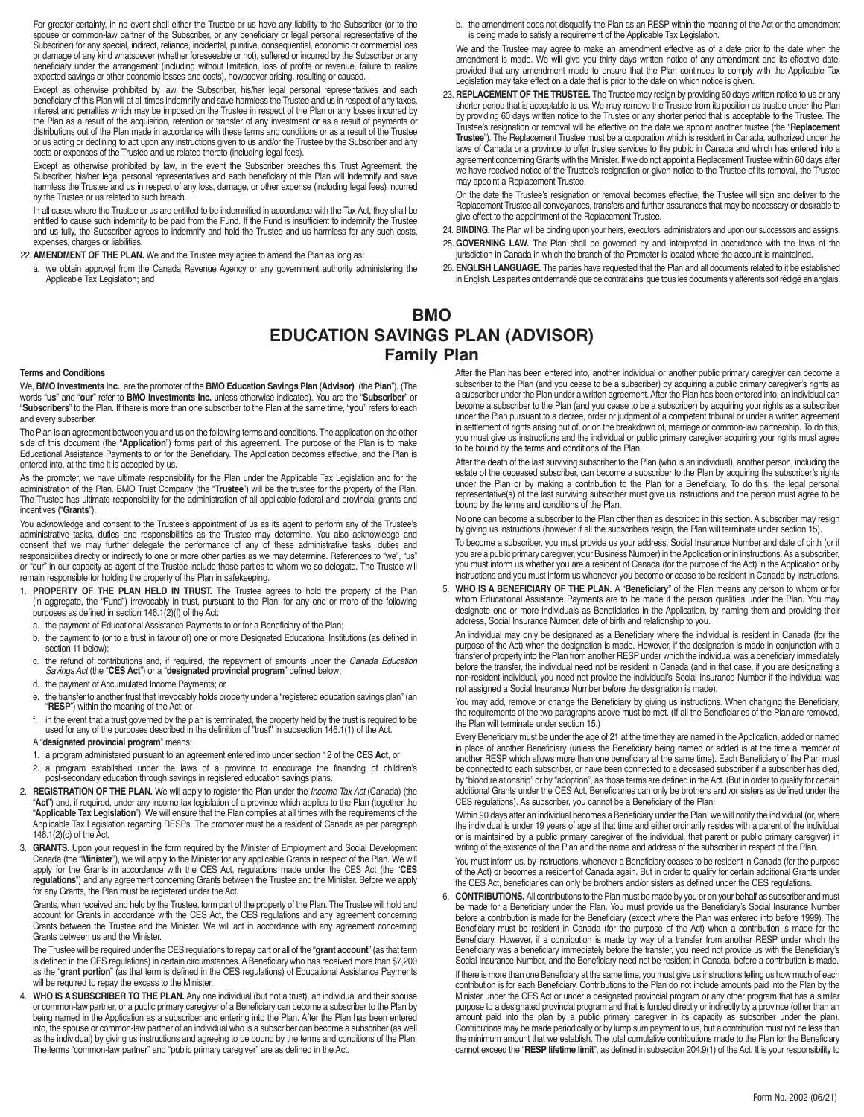For greater certainty, in no event shall either the Trustee or us have any liability to the Subscriber (or to the spouse or common-law partner of the Subscriber, or any beneficiary or legal personal representative of the Subscriber) for any special, indirect, reliance, incidental, punitive, consequential, economic or commercial loss or damage of any kind whatsoever (whether foreseeable or not), suffered or incurred by the Subscriber or any beneficiary under the arrangement (including without limitation, loss of profits or revenue, failure to realize expected savings or other economic losses and costs), howsoever arising, resulting or caused.

Except as otherwise prohibited by law, the Subscriber, his/her legal personal representatives and each beneficiary of this Plan will at all times indemnify and save harmless the Trustee and us in respect of any taxes, interest and penalties which may be imposed on the Trustee in respect of the Plan or any losses incurred by the Plan as a result of the acquisition, retention or transfer of any investment or as a result of payments or distributions out of the Plan made in accordance with these terms and conditions or as a result of the Trustee or us acting or declining to act upon any instructions given to us and/or the Trustee by the Subscriber and any costs or expenses of the Trustee and us related thereto (including legal fees).

Except as otherwise prohibited by law, in the event the Subscriber breaches this Trust Agreement, the Subscriber, his/her legal personal representatives and each beneficiary of this Plan will indemnify and save harmless the Trustee and us in respect of any loss, damage, or other expense (including legal fees) incurred by the Trustee or us related to such breach.

In all cases where the Trustee or us are entitled to be indemnified in accordance with the Tax Act, they shall be entitled to cause such indemnity to be paid from the Fund. If the Fund is insufficient to indemnify the Trustee and us fully, the Subscriber agrees to indemnify and hold the Trustee and us harmless for any such costs, expenses, charges or liabilities.

22. **AMENDMENT OF THE PLAN.** We and the Trustee may agree to amend the Plan as long as:

a. we obtain approval from the Canada Revenue Agency or any government authority administering the Applicable Tax Legislation; and

b. the amendment does not disqualify the Plan as an RESP within the meaning of the Act or the amendment is being made to satisfy a requirement of the Applicable Tax Legislation.

We and the Trustee may agree to make an amendment effective as of a date prior to the date when the amendment is made. We will give you thirty days written notice of any amendment and its effective date, provided that any amendment made to ensure that the Plan continues to comply with the Applicable Tax Legislation may take effect on a date that is prior to the date on which notice is given.

23. **REPLACEMENT OF THE TRUSTEE.** The Trustee may resign by providing 60 days written notice to us or any shorter period that is acceptable to us. We may remove the Trustee from its position as trustee under the Plan by providing 60 days written notice to the Trustee or any shorter period that is acceptable to the Trustee. The Trustee's resignation or removal will be effective on the date we appoint another trustee (the "**Replacement Trustee**"). The Replacement Trustee must be a corporation which is resident in Canada, authorized under the laws of Canada or a province to offer trustee services to the public in Canada and which has entered into a agreement concerning Grants with the Minister. If we do not appoint a Replacement Trustee within 60 days after we have received notice of the Trustee's resignation or given notice to the Trustee of its removal, the Trustee may appoint a Replacement Trustee.

On the date the Trustee's resignation or removal becomes effective, the Trustee will sign and deliver to the Replacement Trustee all conveyances, transfers and further assurances that may be necessary or desirable to give effect to the appointment of the Replacement Trustee.

- 24. **BINDING.** The Plan will be binding upon your heirs, executors, administrators and upon our successors and assigns. 25. **GOVERNING LAW.** The Plan shall be governed by and interpreted in accordance with the laws of the
- jurisdiction in Canada in which the branch of the Promoter is located where the account is maintained.
- 26. **ENGLISH LANGUAGE.** The parties have requested that the Plan and all documents related to it be established in English. Les parties ont demandé que ce contrat ainsi que tous les documents y afférents soit rédigé en anglais.

## **BMO EDUCATION SAVINGS PLAN (ADVISOR) Family Plan**

### **Terms and Conditions**

We, **BMO Investments Inc.**, are the promoter of the **BMO Education Savings Plan (Advisor)** (the "**Plan**"). (The words "**us**" and "**our**" refer to **BMO Investments Inc.** unless otherwise indicated). You are the "**Subscriber**" or "**Subscribers**" to the Plan. If there is more than one subscriber to the Plan at the same time, "**you**" refers to each and every subscriber.

The Plan is an agreement between you and us on the following terms and conditions. The application on the other side of this document (the "**Application**") forms part of this agreement. The purpose of the Plan is to make Educational Assistance Payments to or for the Beneficiary. The Application becomes effective, and the Plan is entered into, at the time it is accepted by us.

As the promoter, we have ultimate responsibility for the Plan under the Applicable Tax Legislation and for the administration of the Plan. BMO Trust Company (the "**Trustee**") will be the trustee for the property of the Plan. The Trustee has ultimate responsibility for the administration of all applicable federal and provincial grants and incentives ("**Grants**").

You acknowledge and consent to the Trustee's appointment of us as its agent to perform any of the Trustee's administrative tasks, duties and responsibilities as the Trustee may determine. You also acknowledge and consent that we may further delegate the performance of any of these administrative tasks, duties and responsibilities directly or indirectly to one or more other parties as we may determine. References to "we", "us" or "our" in our capacity as agent of the Trustee include those parties to whom we so delegate. The Trustee will remain responsible for holding the property of the Plan in safekeeping.

- 1. **PROPERTY OF THE PLAN HELD IN TRUST.** The Trustee agrees to hold the property of the Plan (in aggregate, the "Fund") irrevocably in trust, pursuant to the Plan, for any one or more of the following purposes as defined in section 146.1(2)(f) of the Act:
	- a. the payment of Educational Assistance Payments to or for a Beneficiary of the Plan;
	- b. the payment to (or to a trust in favour of) one or more Designated Educational Institutions (as defined in section 11 below);
	- c. the refund of contributions and, if required, the repayment of amounts under the Canada Education Savings Act (the "**CES Act**") or a "**designated provincial program**" defined below;
	- d. the payment of Accumulated Income Payments; or
	- e. the transfer to another trust that irrevocably holds property under a "registered education savings plan" (an "**RESP**") within the meaning of the Act; or
	- f. in the event that a trust governed by the plan is terminated, the property held by the trust is required to be used for any of the purposes described in the definition of "trust" in subsection 146.1(1) of the Act.
	- A "**designated provincial program**" means:
	- 1. a program administered pursuant to an agreement entered into under section 12 of the **CES Act**, or
	- 2. a program established under the laws of a province to encourage the financing of children's post-secondary education through savings in registered education savings plans.
- 2. **REGISTRATION OF THE PLAN.** We will apply to register the Plan under the Income Tax Act (Canada) (the "**Act**") and, if required, under any income tax legislation of a province which applies to the Plan (together the "**Applicable Tax Legislation**"). We will ensure that the Plan complies at all times with the requirements of the Applicable Tax Legislation regarding RESPs. The promoter must be a resident of Canada as per paragraph 146.1(2)(c) of the Act.
- 3. **GRANTS.** Upon your request in the form required by the Minister of Employment and Social Development Canada (the "**Minister**"), we will apply to the Minister for any applicable Grants in respect of the Plan. We will apply for the Grants in accordance with the CES Act, regulations made under the CES Act (the "**CES regulations**") and any agreement concerning Grants between the Trustee and the Minister. Before we apply for any Grants, the Plan must be registered under the Act.

Grants, when received and held by the Trustee, form part of the property of the Plan. The Trustee will hold and account for Grants in accordance with the CES Act, the CES regulations and any agreement concerning Grants between the Trustee and the Minister. We will act in accordance with any agreement concerning Grants between us and the Minister.

The Trustee will be required under the CES regulations to repay part or all of the "**grant account**" (as that term is defined in the CES regulations) in certain circumstances. A Beneficiary who has received more than \$7,200 as the "**grant portion**" (as that term is defined in the CES regulations) of Educational Assistance Payments will be required to repay the excess to the Minister.

4. **WHO IS A SUBSCRIBER TO THE PLAN.** Any one individual (but not a trust), an individual and their spouse or common-law partner, or a public primary caregiver of a Beneficiary can become a subscriber to the Plan by being named in the Application as a subscriber and entering into the Plan. After the Plan has been entered into, the spouse or common-law partner of an individual who is a subscriber can become a subscriber (as well as the individual) by giving us instructions and agreeing to be bound by the terms and conditions of the Plan. The terms "common-law partner" and "public primary caregiver" are as defined in the Act.

After the Plan has been entered into, another individual or another public primary caregiver can become a subscriber to the Plan (and you cease to be a subscriber) by acquiring a public primary caregiver's rights as a subscriber under the Plan under a written agreement. After the Plan has been entered into, an individual can become a subscriber to the Plan (and you cease to be a subscriber) by acquiring your rights as a subscriber under the Plan pursuant to a decree, order or judgment of a competent tribunal or under a written agreement in settlement of rights arising out of, or on the breakdown of, marriage or common-law partnership. To do this, you must give us instructions and the individual or public primary caregiver acquiring your rights must agree to be bound by the terms and conditions of the Plan.

After the death of the last surviving subscriber to the Plan (who is an individual), another person, including the estate of the deceased subscriber, can become a subscriber to the Plan by acquiring the subscriber's rights under the Plan or by making a contribution to the Plan for a Beneficiary. To do this, the legal personal representative(s) of the last surviving subscriber must give us instructions and the person must agree to be bound by the terms and conditions of the Plan.

No one can become a subscriber to the Plan other than as described in this section. A subscriber may resign by giving us instructions (however if all the subscribers resign, the Plan will terminate under section 15).

To become a subscriber, you must provide us your address, Social Insurance Number and date of birth (or if you are a public primary caregiver, your Business Number) in the Application or in instructions. As a subscriber, you must inform us whether you are a resident of Canada (for the purpose of the Act) in the Application or by instructions and you must inform us whenever you become or cease to be resident in Canada by instructions.

5. **WHO IS A BENEFICIARY OF THE PLAN.** A "**Beneficiary**" of the Plan means any person to whom or for whom Educational Assistance Payments are to be made if the person qualifies under the Plan. You may designate one or more individuals as Beneficiaries in the Application, by naming them and providing their address, Social Insurance Number, date of birth and relationship to you.

An individual may only be designated as a Beneficiary where the individual is resident in Canada (for the purpose of the Act) when the designation is made. However, if the designation is made in conjunction with a transfer of property into the Plan from another RESP under which the individual was a beneficiary immediately before the transfer, the individual need not be resident in Canada (and in that case, if you are designating a non-resident individual, you need not provide the individual's Social Insurance Number if the individual was not assigned a Social Insurance Number before the designation is made).

You may add, remove or change the Beneficiary by giving us instructions. When changing the Beneficiary, the requirements of the two paragraphs above must be met. (If all the Beneficiaries of the Plan are removed, the Plan will terminate under section 15.)

Every Beneficiary must be under the age of 21 at the time they are named in the Application, added or named in place of another Beneficiary (unless the Beneficiary being named or added is at the time a member of another RESP which allows more than one beneficiary at the same time). Each Beneficiary of the Plan must be connected to each subscriber, or have been connected to a deceased subscriber if a subscriber has died, by "blood relationship" or by "adoption", as those terms are defined in the Act. (But in order to qualify for certain additional Grants under the CES Act, Beneficiaries can only be brothers and /or sisters as defined under the CES regulations). As subscriber, you cannot be a Beneficiary of the Plan.

Within 90 days after an individual becomes a Beneficiary under the Plan, we will notify the individual (or, where the individual is under 19 years of age at that time and either ordinarily resides with a parent of the individual or is maintained by a public primary caregiver of the individual, that parent or public primary caregiver) in writing of the existence of the Plan and the name and address of the subscriber in respect of the Plan.

You must inform us, by instructions, whenever a Beneficiary ceases to be resident in Canada (for the purpose of the Act) or becomes a resident of Canada again. But in order to qualify for certain additional Grants under the CES Act, beneficiaries can only be brothers and/or sisters as defined under the CES regulations.

6. **CONTRIBUTIONS.** All contributions to the Plan must be made by you or on your behalf as subscriber and must be made for a Beneficiary under the Plan. You must provide us the Beneficiary's Social Insurance Number before a contribution is made for the Beneficiary (except where the Plan was entered into before 1999). The Beneficiary must be resident in Canada (for the purpose of the Act) when a contribution is made for the Beneficiary. However, if a contribution is made by way of a transfer from another RESP under which the Beneficiary was a beneficiary immediately before the transfer, you need not provide us with the Beneficiary's Social Insurance Number, and the Beneficiary need not be resident in Canada, before a contribution is made. If there is more than one Beneficiary at the same time, you must give us instructions telling us how much of each contribution is for each Beneficiary. Contributions to the Plan do not include amounts paid into the Plan by the Minister under the CES Act or under a designated provincial program or any other program that has a similar purpose to a designated provincial program and that is funded directly or indirectly by a province (other than an amount paid into the plan by a public primary caregiver in its capacity as subscriber under the plan). Contributions may be made periodically or by lump sum payment to us, but a contribution must not be less than the minimum amount that we establish. The total cumulative contributions made to the Plan for the Beneficiary cannot exceed the "**RESP lifetime limit**", as defined in subsection 204.9(1) of the Act. It is your responsibility to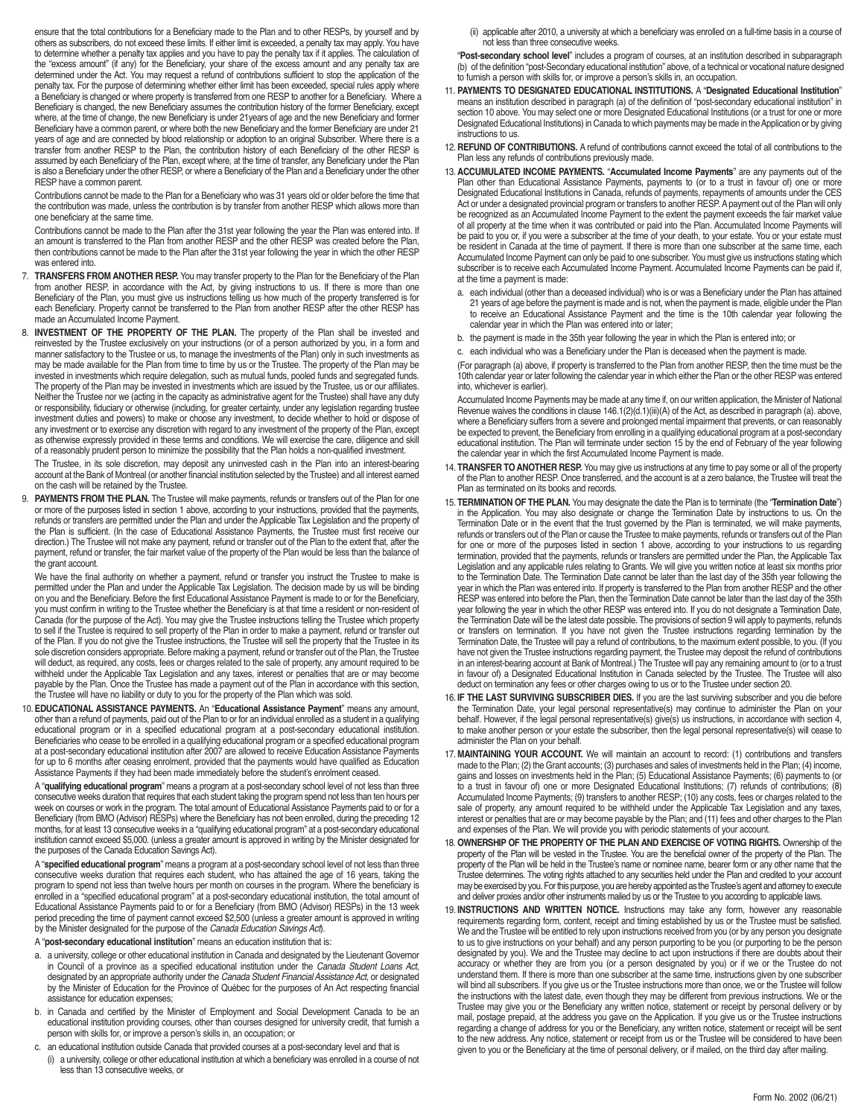ensure that the total contributions for a Beneficiary made to the Plan and to other RESPs, by yourself and by others as subscribers, do not exceed these limits. If either limit is exceeded, a penalty tax may apply. You have to determine whether a penalty tax applies and you have to pay the penalty tax if it applies. The calculation of the "excess amount" (if any) for the Beneficiary, your share of the excess amount and any penalty tax are determined under the Act. You may request a refund of contributions sufficient to stop the application of the penalty tax. For the purpose of determining whether either limit has been exceeded, special rules apply where a Beneficiary is changed or where property is transferred from one RESP to another for a Beneficiary. Where a Beneficiary is changed, the new Beneficiary assumes the contribution history of the former Beneficiary, except where, at the time of change, the new Beneficiary is under 21years of age and the new Beneficiary and former Beneficiary have a common parent, or where both the new Beneficiary and the former Beneficiary are under 21 years of age and are connected by blood relationship or adoption to an original Subscriber. Where there is a transfer from another RESP to the Plan, the contribution history of each Beneficiary of the other RESP is assumed by each Beneficiary of the Plan, except where, at the time of transfer, any Beneficiary under the Plan is also a Beneficiary under the other RESP, or where a Beneficiary of the Plan and a Beneficiary under the other RESP have a common parent.

Contributions cannot be made to the Plan for a Beneficiary who was 31 years old or older before the time that the contribution was made, unless the contribution is by transfer from another RESP which allows more than one beneficiary at the same time.

Contributions cannot be made to the Plan after the 31st year following the year the Plan was entered into. If an amount is transferred to the Plan from another RESP and the other RESP was created before the Plan, then contributions cannot be made to the Plan after the 31st year following the year in which the other RESP was entered into.

- 7. **TRANSFERS FROM ANOTHER RESP.** You may transfer property to the Plan for the Beneficiary of the Plan from another RESP, in accordance with the Act, by giving instructions to us. If there is more than one Beneficiary of the Plan, you must give us instructions telling us how much of the property transferred is for each Beneficiary. Property cannot be transferred to the Plan from another RESP after the other RESP has made an Accumulated Income Payment.
- 8. **INVESTMENT OF THE PROPERTY OF THE PLAN.** The property of the Plan shall be invested and reinvested by the Trustee exclusively on your instructions (or of a person authorized by you, in a form and manner satisfactory to the Trustee or us, to manage the investments of the Plan) only in such investments as may be made available for the Plan from time to time by us or the Trustee. The property of the Plan may be invested in investments which require delegation, such as mutual funds, pooled funds and segregated funds. The property of the Plan may be invested in investments which are issued by the Trustee, us or our affiliates. Neither the Trustee nor we (acting in the capacity as administrative agent for the Trustee) shall have any duty or responsibility, fiduciary or otherwise (including, for greater certainty, under any legislation regarding trustee investment duties and powers) to make or choose any investment, to decide whether to hold or dispose of any investment or to exercise any discretion with regard to any investment of the property of the Plan, except as otherwise expressly provided in these terms and conditions. We will exercise the care, diligence and skill of a reasonably prudent person to minimize the possibility that the Plan holds a non-qualified investment.

The Trustee, in its sole discretion, may deposit any uninvested cash in the Plan into an interest-bearing account at the Bank of Montreal (or another financial institution selected by the Trustee) and all interest earned on the cash will be retained by the Trustee.

9. **PAYMENTS FROM THE PLAN.** The Trustee will make payments, refunds or transfers out of the Plan for one or more of the purposes listed in section 1 above, according to your instructions, provided that the payments, refunds or transfers are permitted under the Plan and under the Applicable Tax Legislation and the property of the Plan is sufficient. (In the case of Educational Assistance Payments, the Trustee must first receive our direction.) The Trustee will not make any payment, refund or transfer out of the Plan to the extent that, after the payment, refund or transfer, the fair market value of the property of the Plan would be less than the balance of the grant account.

We have the final authority on whether a payment, refund or transfer you instruct the Trustee to make is permitted under the Plan and under the Applicable Tax Legislation. The decision made by us will be binding on you and the Beneficiary. Before the first Educational Assistance Payment is made to or for the Beneficiary, you must confirm in writing to the Trustee whether the Beneficiary is at that time a resident or non-resident of Canada (for the purpose of the Act). You may give the Trustee instructions telling the Trustee which property to sell if the Trustee is required to sell property of the Plan in order to make a payment, refund or transfer out of the Plan. If you do not give the Trustee instructions, the Trustee will sell the property that the Trustee in its sole discretion considers appropriate. Before making a payment, refund or transfer out of the Plan, the Trustee will deduct, as required, any costs, fees or charges related to the sale of property, any amount required to be withheld under the Applicable Tax Legislation and any taxes, interest or penalties that are or may become payable by the Plan. Once the Trustee has made a payment out of the Plan in accordance with this section, the Trustee will have no liability or duty to you for the property of the Plan which was sold.

10.**EDUCATIONAL ASSISTANCE PAYMENTS.** An "**Educational Assistance Payment**" means any amount, other than a refund of payments, paid out of the Plan to or for an individual enrolled as a student in a qualifying educational program or in a specified educational program at a post-secondary educational institution. Beneficiaries who cease to be enrolled in a qualifying educational program or a specified educational program at a post-secondary educational institution after 2007 are allowed to receive Education Assistance Payments for up to 6 months after ceasing enrolment, provided that the payments would have qualified as Education Assistance Payments if they had been made immediately before the student's enrolment ceased.

A "**qualifying educational program**" means a program at a post-secondary school level of not less than three consecutive weeks duration that requires that each student taking the program spend not less than ten hours per week on courses or work in the program. The total amount of Educational Assistance Payments paid to or for a Beneficiary (from BMO (Advisor) RESPs) where the Beneficiary has not been enrolled, during the preceding 12 months, for at least 13 consecutive weeks in a "qualifying educational program" at a post-secondary educational institution cannot exceed \$5,000. (unless a greater amount is approved in writing by the Minister designated for the purposes of the Canada Education Savings Act).

A "**specified educational program**" means a program at a post-secondary school level of not less than three consecutive weeks duration that requires each student, who has attained the age of 16 years, taking the program to spend not less than twelve hours per month on courses in the program. Where the beneficiary is enrolled in a "specified educational program" at a post-secondary educational institution, the total amount of Educational Assistance Payments paid to or for a Beneficiary (from BMO (Advisor) RESPs) in the 13 week period preceding the time of payment cannot exceed \$2,500 (unless a greater amount is approved in writing by the Minister designated for the purpose of the Canada Education Savings Act).

A "**post-secondary educational institution**" means an education institution that is:

- a. a university, college or other educational institution in Canada and designated by the Lieutenant Governor in Council of a province as a specified educational institution under the Canada Student Loans Act, designated by an appropriate authority under the Canada Student Financial Assistance Act, or designated by the Minister of Education for the Province of Québec for the purposes of An Act respecting financial assistance for education expenses;
- b. in Canada and certified by the Minister of Employment and Social Development Canada to be an educational institution providing courses, other than courses designed for university credit, that furnish a person with skills for, or improve a person's skills in, an occupation; or
- c. an educational institution outside Canada that provided courses at a post-secondary level and that is (i) a university, college or other educational institution at which a beneficiary was enrolled in a course of not less than 13 consecutive weeks, or

(ii) applicable after 2010, a university at which a beneficiary was enrolled on a full-time basis in a course of not less than three consecutive weeks.

"**Post-secondary school level**" includes a program of courses, at an institution described in subparagraph (b) of the definition "post-Secondary educational institution" above, of a technical or vocational nature designed to furnish a person with skills for, or improve a person's skills in, an occupation.

- 11. **PAYMENTS TO DESIGNATED EDUCATIONAL INSTITUTIONS.** A "**Designated Educational Institution**" means an institution described in paragraph (a) of the definition of "post-secondary educational institution" in section 10 above. You may select one or more Designated Educational Institutions (or a trust for one or more Designated Educational Institutions) in Canada to which payments may be made in the Application or by giving instructions to us.
- 12. **REFUND OF CONTRIBUTIONS.** A refund of contributions cannot exceed the total of all contributions to the Plan less any refunds of contributions previously made.
- 13. **ACCUMULATED INCOME PAYMENTS.** "**Accumulated Income Payments**" are any payments out of the Plan other than Educational Assistance Payments, payments to (or to a trust in favour of) one or more Designated Educational Institutions in Canada, refunds of payments, repayments of amounts under the CES Act or under a designated provincial program or transfers to another RESP. A payment out of the Plan will only be recognized as an Accumulated Income Payment to the extent the payment exceeds the fair market value of all property at the time when it was contributed or paid into the Plan. Accumulated Income Payments will be paid to you or, if you were a subscriber at the time of your death, to your estate. You or your estate must be resident in Canada at the time of payment. If there is more than one subscriber at the same time, each Accumulated Income Payment can only be paid to one subscriber. You must give us instructions stating which subscriber is to receive each Accumulated Income Payment. Accumulated Income Payments can be paid if, at the time a payment is made:
	- a. each individual (other than a deceased individual) who is or was a Beneficiary under the Plan has attained 21 years of age before the payment is made and is not, when the payment is made, eligible under the Plan to receive an Educational Assistance Payment and the time is the 10th calendar year following the calendar year in which the Plan was entered into or later;
- b. the payment is made in the 35th year following the year in which the Plan is entered into; or
- c. each individual who was a Beneficiary under the Plan is deceased when the payment is made.

(For paragraph (a) above, if property is transferred to the Plan from another RESP, then the time must be the 10th calendar year or later following the calendar year in which either the Plan or the other RESP was entered into, whichever is earlier).

Accumulated Income Payments may be made at any time if, on our written application, the Minister of National Revenue waives the conditions in clause 146.1(2)(d.1)(iii)(A) of the Act, as described in paragraph (a). above, where a Beneficiary suffers from a severe and prolonged mental impairment that prevents, or can reasonably be expected to prevent, the Beneficiary from enrolling in a qualifying educational program at a post-secondary educational institution. The Plan will terminate under section 15 by the end of February of the year following the calendar year in which the first Accumulated Income Payment is made.

- 14. **TRANSFER TO ANOTHER RESP.** You may give us instructions at any time to pay some or all of the property of the Plan to another RESP. Once transferred, and the account is at a zero balance, the Trustee will treat the Plan as terminated on its books and records.
- 15. **TERMINATION OF THE PLAN.** You may designate the date the Plan is to terminate (the "**Termination Date**") in the Application. You may also designate or change the Termination Date by instructions to us. On the Termination Date or in the event that the trust governed by the Plan is terminated, we will make payments, refunds or transfers out of the Plan or cause the Trustee to make payments, refunds or transfers out of the Plan for one or more of the purposes listed in section 1 above, according to your instructions to us regarding termination, provided that the payments, refunds or transfers are permitted under the Plan, the Applicable Tax Legislation and any applicable rules relating to Grants. We will give you written notice at least six months prior to the Termination Date. The Termination Date cannot be later than the last day of the 35th year following the year in which the Plan was entered into. If property is transferred to the Plan from another RESP and the other RESP was entered into before the Plan, then the Termination Date cannot be later than the last day of the 35th year following the year in which the other RESP was entered into. If you do not designate a Termination Date, the Termination Date will be the latest date possible. The provisions of section 9 will apply to payments, refunds or transfers on termination. If you have not given the Trustee instructions regarding termination by the Termination Date, the Trustee will pay a refund of contributions, to the maximum extent possible, to you. (If you have not given the Trustee instructions regarding payment, the Trustee may deposit the refund of contributions in an interest-bearing account at Bank of Montreal.) The Trustee will pay any remaining amount to (or to a trust in favour of) a Designated Educational Institution in Canada selected by the Trustee. The Trustee will also deduct on termination any fees or other charges owing to us or to the Trustee under section 20.
- 16. **IF THE LAST SURVIVING SUBSCRIBER DIES.** If you are the last surviving subscriber and you die before the Termination Date, your legal personal representative(s) may continue to administer the Plan on your behalf. However, if the legal personal representative(s) give(s) us instructions, in accordance with section 4, to make another person or your estate the subscriber, then the legal personal representative(s) will cease to administer the Plan on your behalf.
- 17. **MAINTAINING YOUR ACCOUNT.** We will maintain an account to record: (1) contributions and transfers made to the Plan; (2) the Grant accounts; (3) purchases and sales of investments held in the Plan; (4) income gains and losses on investments held in the Plan; (5) Educational Assistance Payments; (6) payments to (or to a trust in favour of) one or more Designated Educational Institutions; (7) refunds of contributions; (8) Accumulated Income Payments; (9) transfers to another RESP; (10) any costs, fees or charges related to the sale of property, any amount required to be withheld under the Applicable Tax Legislation and any taxes, interest or penalties that are or may become payable by the Plan; and (11) fees and other charges to the Plan and expenses of the Plan. We will provide you with periodic statements of your account.
- 18. **OWNERSHIP OF THE PROPERTY OF THE PLAN AND EXERCISE OF VOTING RIGHTS.** Ownership of the property of the Plan will be vested in the Trustee. You are the beneficial owner of the property of the Plan. The property of the Plan will be held in the Trustee's name or nominee name, bearer form or any other name that the Trustee determines. The voting rights attached to any securities held under the Plan and credited to your account may be exercised by you. For this purpose, you are hereby appointed as the Trustee's agent and attorney to execute and deliver proxies and/or other instruments mailed by us or the Trustee to you according to applicable laws.
- 19. **INSTRUCTIONS AND WRITTEN NOTICE.** Instructions may take any form, however any reasonable requirements regarding form, content, receipt and timing established by us or the Trustee must be satisfied. We and the Trustee will be entitled to rely upon instructions received from you (or by any person you designate to us to give instructions on your behalf) and any person purporting to be you (or purporting to be the person designated by you). We and the Trustee may decline to act upon instructions if there are doubts about their accuracy or whether they are from you (or a person designated by you) or if we or the Trustee do not understand them. If there is more than one subscriber at the same time, instructions given by one subscriber will bind all subscribers. If you give us or the Trustee instructions more than once, we or the Trustee will follow the instructions with the latest date, even though they may be different from previous instructions. We or the Trustee may give you or the Beneficiary any written notice, statement or receipt by personal delivery or by mail, postage prepaid, at the address you gave on the Application. If you give us or the Trustee instructions regarding a change of address for you or the Beneficiary, any written notice, statement or receipt will be sent to the new address. Any notice, statement or receipt from us or the Trustee will be considered to have been given to you or the Beneficiary at the time of personal delivery, or if mailed, on the third day after mailing.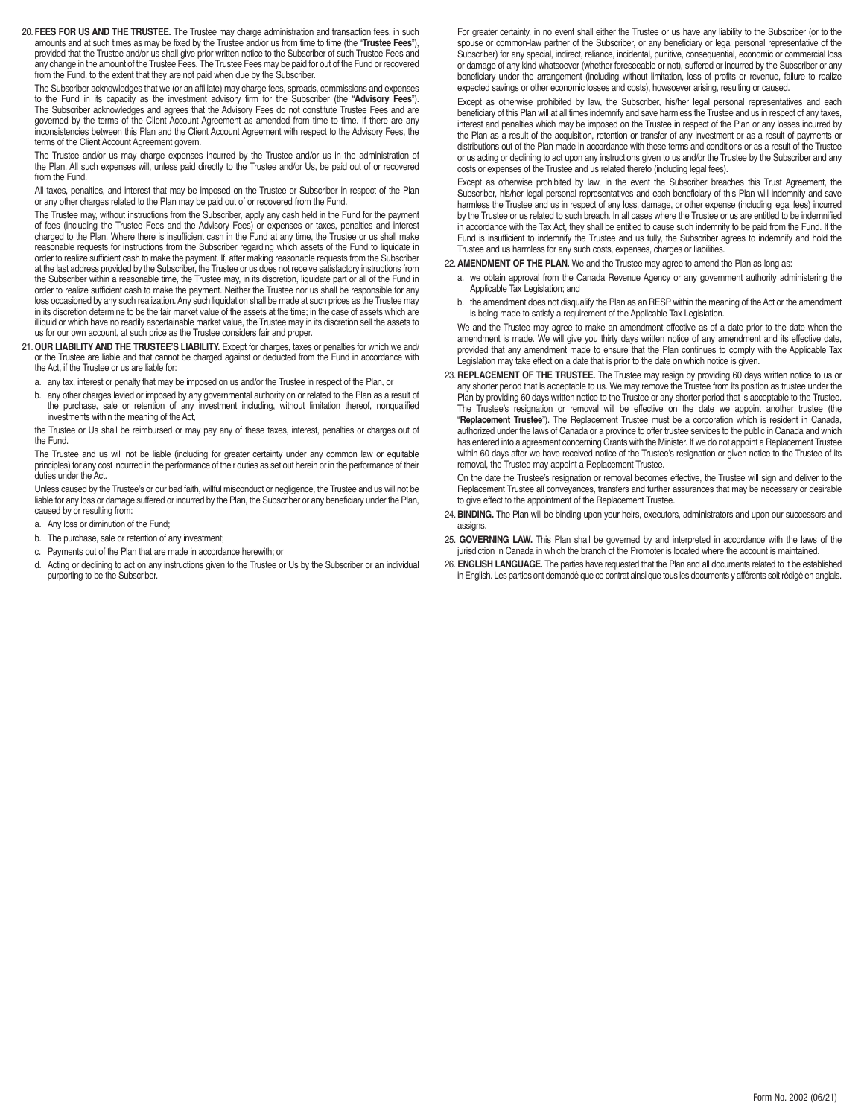20. **FEES FOR US AND THE TRUSTEE.** The Trustee may charge administration and transaction fees, in such amounts and at such times as may be fixed by the Trustee and/or us from time to time (the "**Trustee Fees**"), provided that the Trustee and/or us shall give prior written notice to the Subscriber of such Trustee Fees and any change in the amount of the Trustee Fees. The Trustee Fees may be paid for out of the Fund or recovered from the Fund, to the extent that they are not paid when due by the Subscriber.

The Subscriber acknowledges that we (or an affiliate) may charge fees, spreads, commissions and expenses to the Fund in its capacity as the investment advisory firm for the Subscriber (the "**Advisory Fees**"). The Subscriber acknowledges and agrees that the Advisory Fees do not constitute Trustee Fees and are governed by the terms of the Client Account Agreement as amended from time to time. If there are any inconsistencies between this Plan and the Client Account Agreement with respect to the Advisory Fees, the terms of the Client Account Agreement govern.

The Trustee and/or us may charge expenses incurred by the Trustee and/or us in the administration of the Plan. All such expenses will, unless paid directly to the Trustee and/or Us, be paid out of or recovered from the Fund.

All taxes, penalties, and interest that may be imposed on the Trustee or Subscriber in respect of the Plan or any other charges related to the Plan may be paid out of or recovered from the Fund.

The Trustee may, without instructions from the Subscriber, apply any cash held in the Fund for the payment of fees (including the Trustee Fees and the Advisory Fees) or expenses or taxes, penalties and interest charged to the Plan. Where there is insufficient cash in the Fund at any time, the Trustee or us shall make reasonable requests for instructions from the Subscriber regarding which assets of the Fund to liquidate in order to realize sufficient cash to make the payment. If, after making reasonable requests from the Subscriber at the last address provided by the Subscriber, the Trustee or us does not receive satisfactory instructions from the Subscriber within a reasonable time, the Trustee may, in its discretion, liquidate part or all of the Fund in order to realize sufficient cash to make the payment. Neither the Trustee nor us shall be responsible for any loss occasioned by any such realization. Any such liquidation shall be made at such prices as the Trustee may in its discretion determine to be the fair market value of the assets at the time; in the case of assets which are illiquid or which have no readily ascertainable market value, the Trustee may in its discretion sell the assets to us for our own account, at such price as the Trustee considers fair and proper.

21. **OUR LIABILITY AND THE TRUSTEE'S LIABILITY.** Except for charges, taxes or penalties for which we and/ or the Trustee are liable and that cannot be charged against or deducted from the Fund in accordance with the Act, if the Trustee or us are liable for:

- a. any tax, interest or penalty that may be imposed on us and/or the Trustee in respect of the Plan, or
- b. any other charges levied or imposed by any governmental authority on or related to the Plan as a result of the purchase, sale or retention of any investment including, without limitation thereof, nonqualified investments within the meaning of the Act,

the Trustee or Us shall be reimbursed or may pay any of these taxes, interest, penalties or charges out of the Fund.

The Trustee and us will not be liable (including for greater certainty under any common law or equitable principles) for any cost incurred in the performance of their duties as set out herein or in the performance of their duties under the Act.

Unless caused by the Trustee's or our bad faith, willful misconduct or negligence, the Trustee and us will not be liable for any loss or damage suffered or incurred by the Plan, the Subscriber or any beneficiary under the Plan, caused by or resulting from:

- a. Any loss or diminution of the Fund;
- b. The purchase, sale or retention of any investment;
- c. Payments out of the Plan that are made in accordance herewith; or
- d. Acting or declining to act on any instructions given to the Trustee or Us by the Subscriber or an individual purporting to be the Subscriber.

For greater certainty, in no event shall either the Trustee or us have any liability to the Subscriber (or to the spouse or common-law partner of the Subscriber, or any beneficiary or legal personal representative of the Subscriber) for any special, indirect, reliance, incidental, punitive, consequential, economic or commercial loss or damage of any kind whatsoever (whether foreseeable or not), suffered or incurred by the Subscriber or any beneficiary under the arrangement (including without limitation, loss of profits or revenue, failure to realize expected savings or other economic losses and costs), howsoever arising, resulting or caused.

Except as otherwise prohibited by law, the Subscriber, his/her legal personal representatives and each beneficiary of this Plan will at all times indemnify and save harmless the Trustee and us in respect of any taxes, interest and penalties which may be imposed on the Trustee in respect of the Plan or any losses incurred by the Plan as a result of the acquisition, retention or transfer of any investment or as a result of payments or distributions out of the Plan made in accordance with these terms and conditions or as a result of the Trustee or us acting or declining to act upon any instructions given to us and/or the Trustee by the Subscriber and any costs or expenses of the Trustee and us related thereto (including legal fees).

Except as otherwise prohibited by law, in the event the Subscriber breaches this Trust Agreement, the Subscriber, his/her legal personal representatives and each beneficiary of this Plan will indemnify and save harmless the Trustee and us in respect of any loss, damage, or other expense (including legal fees) incurred by the Trustee or us related to such breach. In all cases where the Trustee or us are entitled to be indemnified in accordance with the Tax Act, they shall be entitled to cause such indemnity to be paid from the Fund. If the Fund is insufficient to indemnify the Trustee and us fully, the Subscriber agrees to indemnify and hold the Trustee and us harmless for any such costs, expenses, charges or liabilities.

### 22. **AMENDMENT OF THE PLAN.** We and the Trustee may agree to amend the Plan as long as:

- a. we obtain approval from the Canada Revenue Agency or any government authority administering the Applicable Tax Legislation; and
- b. the amendment does not disqualify the Plan as an RESP within the meaning of the Act or the amendment is being made to satisfy a requirement of the Applicable Tax Legislation.

We and the Trustee may agree to make an amendment effective as of a date prior to the date when the amendment is made. We will give you thirty days written notice of any amendment and its effective date, provided that any amendment made to ensure that the Plan continues to comply with the Applicable Tax Legislation may take effect on a date that is prior to the date on which notice is given.

23. **REPLACEMENT OF THE TRUSTEE.** The Trustee may resign by providing 60 days written notice to us or any shorter period that is acceptable to us. We may remove the Trustee from its position as trustee under the Plan by providing 60 days written notice to the Trustee or any shorter period that is acceptable to the Trustee. The Trustee's resignation or removal will be effective on the date we appoint another trustee (the "**Replacement Trustee**"). The Replacement Trustee must be a corporation which is resident in Canada, authorized under the laws of Canada or a province to offer trustee services to the public in Canada and which has entered into a agreement concerning Grants with the Minister. If we do not appoint a Replacement Trustee within 60 days after we have received notice of the Trustee's resignation or given notice to the Trustee of its removal, the Trustee may appoint a Replacement Trustee.

On the date the Trustee's resignation or removal becomes effective, the Trustee will sign and deliver to the Replacement Trustee all conveyances, transfers and further assurances that may be necessary or desirable to give effect to the appointment of the Replacement Trustee.

- 24. **BINDING.** The Plan will be binding upon your heirs, executors, administrators and upon our successors and assigns.
- 25. **GOVERNING LAW.** This Plan shall be governed by and interpreted in accordance with the laws of the jurisdiction in Canada in which the branch of the Promoter is located where the account is maintained.
- 26. **ENGLISH LANGUAGE.** The parties have requested that the Plan and all documents related to it be established in English. Les parties ont demandé que ce contrat ainsi que tous les documents y afférents soit rédigé en anglais.